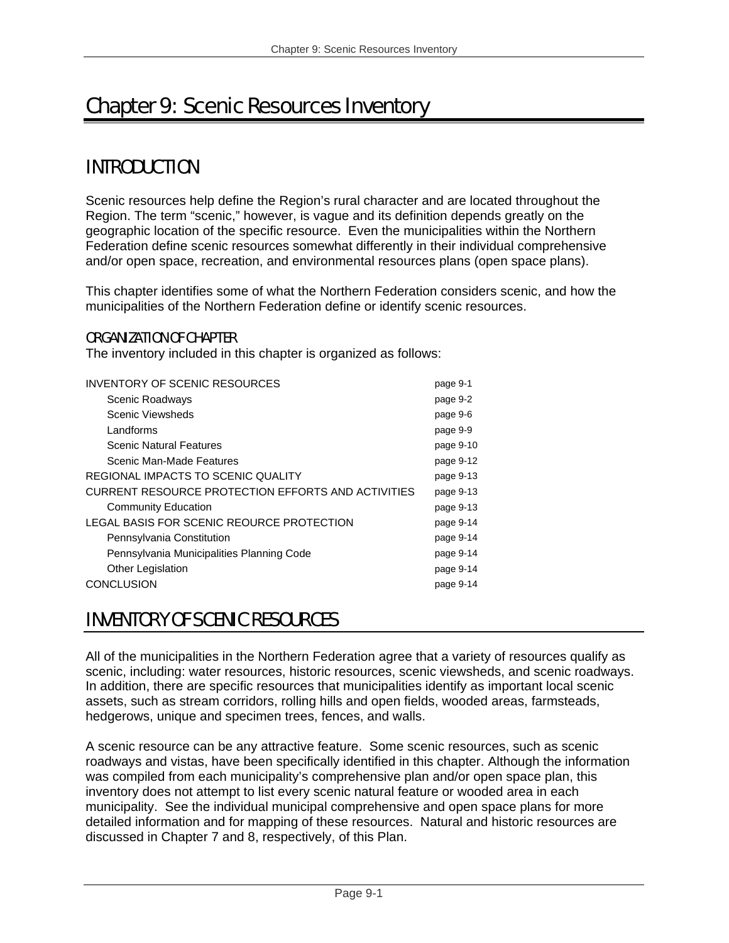# Chapter 9: Scenic Resources Inventory

## INTRODUCTION

Scenic resources help define the Region's rural character and are located throughout the Region. The term "scenic," however, is vague and its definition depends greatly on the geographic location of the specific resource. Even the municipalities within the Northern Federation define scenic resources somewhat differently in their individual comprehensive and/or open space, recreation, and environmental resources plans (open space plans).

This chapter identifies some of what the Northern Federation considers scenic, and how the municipalities of the Northern Federation define or identify scenic resources.

#### ORGANIZATION OF CHAPTER

The inventory included in this chapter is organized as follows:

| INVENTORY OF SCENIC RESOURCES                      | page 9-1  |
|----------------------------------------------------|-----------|
| Scenic Roadways                                    | page 9-2  |
| Scenic Viewsheds                                   | page 9-6  |
| Landforms                                          | page 9-9  |
| <b>Scenic Natural Features</b>                     | page 9-10 |
| Scenic Man-Made Features                           | page 9-12 |
| REGIONAL IMPACTS TO SCENIC QUALITY                 | page 9-13 |
| CURRENT RESOURCE PROTECTION EFFORTS AND ACTIVITIES | page 9-13 |
| <b>Community Education</b>                         | page 9-13 |
| LEGAL BASIS FOR SCENIC REOURCE PROTECTION          | page 9-14 |
| Pennsylvania Constitution                          | page 9-14 |
| Pennsylvania Municipalities Planning Code          | page 9-14 |
| <b>Other Legislation</b>                           | page 9-14 |
| <b>CONCLUSION</b>                                  | page 9-14 |

## INVENTORY OF SCENIC RESOURCES

All of the municipalities in the Northern Federation agree that a variety of resources qualify as scenic, including: water resources, historic resources, scenic viewsheds, and scenic roadways. In addition, there are specific resources that municipalities identify as important local scenic assets, such as stream corridors, rolling hills and open fields, wooded areas, farmsteads, hedgerows, unique and specimen trees, fences, and walls.

A scenic resource can be any attractive feature. Some scenic resources, such as scenic roadways and vistas, have been specifically identified in this chapter. Although the information was compiled from each municipality's comprehensive plan and/or open space plan, this inventory does not attempt to list every scenic natural feature or wooded area in each municipality. See the individual municipal comprehensive and open space plans for more detailed information and for mapping of these resources. Natural and historic resources are discussed in Chapter 7 and 8, respectively, of this Plan.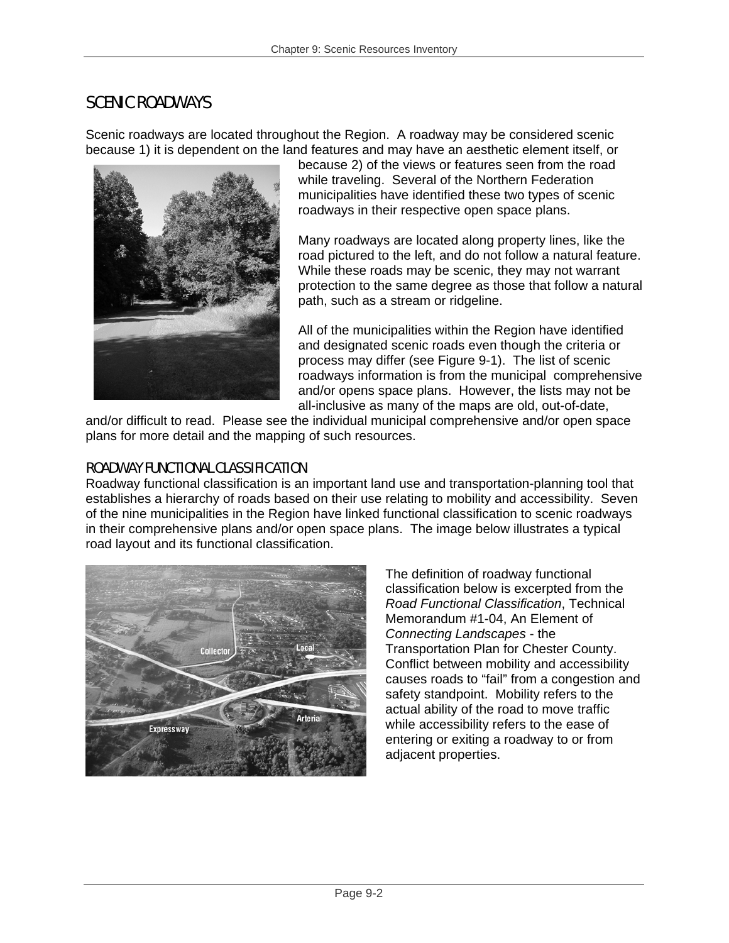### SCENIC ROADWAYS

Scenic roadways are located throughout the Region. A roadway may be considered scenic because 1) it is dependent on the land features and may have an aesthetic element itself, or



because 2) of the views or features seen from the road while traveling. Several of the Northern Federation municipalities have identified these two types of scenic roadways in their respective open space plans.

Many roadways are located along property lines, like the road pictured to the left, and do not follow a natural feature. While these roads may be scenic, they may not warrant protection to the same degree as those that follow a natural path, such as a stream or ridgeline.

All of the municipalities within the Region have identified and designated scenic roads even though the criteria or process may differ (see Figure 9-1). The list of scenic roadways information is from the municipal comprehensive and/or opens space plans. However, the lists may not be all-inclusive as many of the maps are old, out-of-date,

and/or difficult to read. Please see the individual municipal comprehensive and/or open space plans for more detail and the mapping of such resources.

#### ROADWAY FUNCTIONAL CLASSIFICATION

Roadway functional classification is an important land use and transportation-planning tool that establishes a hierarchy of roads based on their use relating to mobility and accessibility. Seven of the nine municipalities in the Region have linked functional classification to scenic roadways in their comprehensive plans and/or open space plans. The image below illustrates a typical road layout and its functional classification.



The definition of roadway functional classification below is excerpted from the *Road Functional Classification*, Technical Memorandum #1-04, An Element of *Connecting Landscapes* - the Transportation Plan for Chester County. Conflict between mobility and accessibility causes roads to "fail" from a congestion and safety standpoint. Mobility refers to the actual ability of the road to move traffic while accessibility refers to the ease of entering or exiting a roadway to or from adjacent properties.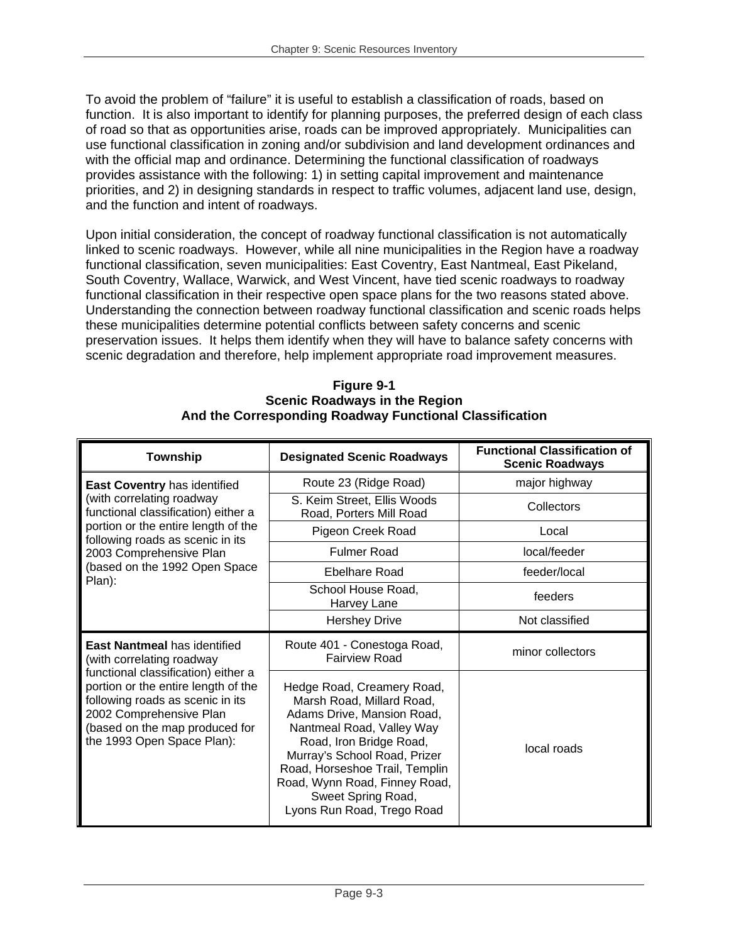To avoid the problem of "failure" it is useful to establish a classification of roads, based on function. It is also important to identify for planning purposes, the preferred design of each class of road so that as opportunities arise, roads can be improved appropriately. Municipalities can use functional classification in zoning and/or subdivision and land development ordinances and with the official map and ordinance. Determining the functional classification of roadways provides assistance with the following: 1) in setting capital improvement and maintenance priorities, and 2) in designing standards in respect to traffic volumes, adjacent land use, design, and the function and intent of roadways.

Upon initial consideration, the concept of roadway functional classification is not automatically linked to scenic roadways. However, while all nine municipalities in the Region have a roadway functional classification, seven municipalities: East Coventry, East Nantmeal, East Pikeland, South Coventry, Wallace, Warwick, and West Vincent, have tied scenic roadways to roadway functional classification in their respective open space plans for the two reasons stated above. Understanding the connection between roadway functional classification and scenic roads helps these municipalities determine potential conflicts between safety concerns and scenic preservation issues. It helps them identify when they will have to balance safety concerns with scenic degradation and therefore, help implement appropriate road improvement measures.

#### **Figure 9-1 Scenic Roadways in the Region And the Corresponding Roadway Functional Classification**

| Township                                                                                                                                                                                                  | <b>Designated Scenic Roadways</b>                                                                                                                                                                                                                                                                    | <b>Functional Classification of</b><br><b>Scenic Roadways</b> |
|-----------------------------------------------------------------------------------------------------------------------------------------------------------------------------------------------------------|------------------------------------------------------------------------------------------------------------------------------------------------------------------------------------------------------------------------------------------------------------------------------------------------------|---------------------------------------------------------------|
| <b>East Coventry has identified</b><br>(with correlating roadway<br>functional classification) either a                                                                                                   | Route 23 (Ridge Road)                                                                                                                                                                                                                                                                                | major highway                                                 |
|                                                                                                                                                                                                           | S. Keim Street, Ellis Woods<br>Road, Porters Mill Road                                                                                                                                                                                                                                               | Collectors                                                    |
| portion or the entire length of the<br>following roads as scenic in its                                                                                                                                   | Pigeon Creek Road                                                                                                                                                                                                                                                                                    | Local                                                         |
| 2003 Comprehensive Plan                                                                                                                                                                                   | <b>Fulmer Road</b>                                                                                                                                                                                                                                                                                   | local/feeder                                                  |
| (based on the 1992 Open Space                                                                                                                                                                             | Ebelhare Road                                                                                                                                                                                                                                                                                        | feeder/local                                                  |
| Plan):                                                                                                                                                                                                    | School House Road.<br>Harvey Lane                                                                                                                                                                                                                                                                    | feeders                                                       |
|                                                                                                                                                                                                           | <b>Hershey Drive</b>                                                                                                                                                                                                                                                                                 | Not classified                                                |
| <b>East Nantmeal has identified</b><br>(with correlating roadway                                                                                                                                          | Route 401 - Conestoga Road,<br><b>Fairview Road</b>                                                                                                                                                                                                                                                  | minor collectors                                              |
| functional classification) either a<br>portion or the entire length of the<br>following roads as scenic in its<br>2002 Comprehensive Plan<br>(based on the map produced for<br>the 1993 Open Space Plan): | Hedge Road, Creamery Road,<br>Marsh Road, Millard Road,<br>Adams Drive, Mansion Road,<br>Nantmeal Road, Valley Way<br>Road, Iron Bridge Road,<br>Murray's School Road, Prizer<br>Road, Horseshoe Trail, Templin<br>Road, Wynn Road, Finney Road,<br>Sweet Spring Road,<br>Lyons Run Road, Trego Road | local roads                                                   |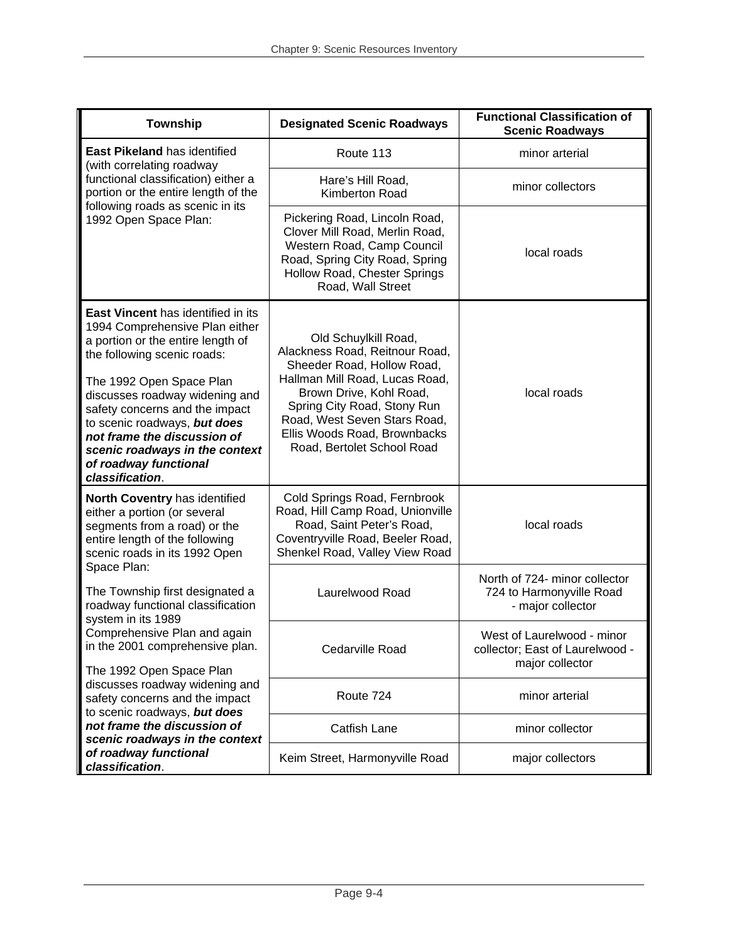| <b>Township</b>                                                                                                                                                                                                                                                                                                                                                                              | <b>Designated Scenic Roadways</b>                                                                                                                                                                                                                                              | <b>Functional Classification of</b><br><b>Scenic Roadways</b>                    |
|----------------------------------------------------------------------------------------------------------------------------------------------------------------------------------------------------------------------------------------------------------------------------------------------------------------------------------------------------------------------------------------------|--------------------------------------------------------------------------------------------------------------------------------------------------------------------------------------------------------------------------------------------------------------------------------|----------------------------------------------------------------------------------|
| East Pikeland has identified<br>(with correlating roadway<br>functional classification) either a<br>portion or the entire length of the<br>following roads as scenic in its<br>1992 Open Space Plan:                                                                                                                                                                                         | Route 113                                                                                                                                                                                                                                                                      | minor arterial                                                                   |
|                                                                                                                                                                                                                                                                                                                                                                                              | Hare's Hill Road,<br>Kimberton Road                                                                                                                                                                                                                                            | minor collectors                                                                 |
|                                                                                                                                                                                                                                                                                                                                                                                              | Pickering Road, Lincoln Road,<br>Clover Mill Road, Merlin Road,<br>Western Road, Camp Council<br>Road, Spring City Road, Spring<br>Hollow Road, Chester Springs<br>Road, Wall Street                                                                                           | local roads                                                                      |
| <b>East Vincent has identified in its</b><br>1994 Comprehensive Plan either<br>a portion or the entire length of<br>the following scenic roads:<br>The 1992 Open Space Plan<br>discusses roadway widening and<br>safety concerns and the impact<br>to scenic roadways, but does<br>not frame the discussion of<br>scenic roadways in the context<br>of roadway functional<br>classification. | Old Schuylkill Road,<br>Alackness Road, Reitnour Road,<br>Sheeder Road, Hollow Road,<br>Hallman Mill Road, Lucas Road,<br>Brown Drive, Kohl Road,<br>Spring City Road, Stony Run<br>Road, West Seven Stars Road,<br>Ellis Woods Road, Brownbacks<br>Road, Bertolet School Road | local roads                                                                      |
| North Coventry has identified<br>either a portion (or several<br>segments from a road) or the<br>entire length of the following<br>scenic roads in its 1992 Open                                                                                                                                                                                                                             | Cold Springs Road, Fernbrook<br>Road, Hill Camp Road, Unionville<br>Road, Saint Peter's Road,<br>Coventryville Road, Beeler Road,<br>Shenkel Road, Valley View Road                                                                                                            | local roads                                                                      |
| Space Plan:<br>The Township first designated a<br>roadway functional classification<br>system in its 1989                                                                                                                                                                                                                                                                                    | Laurelwood Road                                                                                                                                                                                                                                                                | North of 724- minor collector<br>724 to Harmonyville Road<br>- major collector   |
| Comprehensive Plan and again<br>in the 2001 comprehensive plan.                                                                                                                                                                                                                                                                                                                              | Cedarville Road                                                                                                                                                                                                                                                                | West of Laurelwood - minor<br>collector; East of Laurelwood -<br>major collector |
| The 1992 Open Space Plan<br>discusses roadway widening and<br>safety concerns and the impact<br>to scenic roadways, but does                                                                                                                                                                                                                                                                 | Route 724                                                                                                                                                                                                                                                                      | minor arterial                                                                   |
| not frame the discussion of<br>scenic roadways in the context                                                                                                                                                                                                                                                                                                                                | Catfish Lane                                                                                                                                                                                                                                                                   | minor collector                                                                  |
| of roadway functional<br>classification.                                                                                                                                                                                                                                                                                                                                                     | Keim Street, Harmonyville Road                                                                                                                                                                                                                                                 | major collectors                                                                 |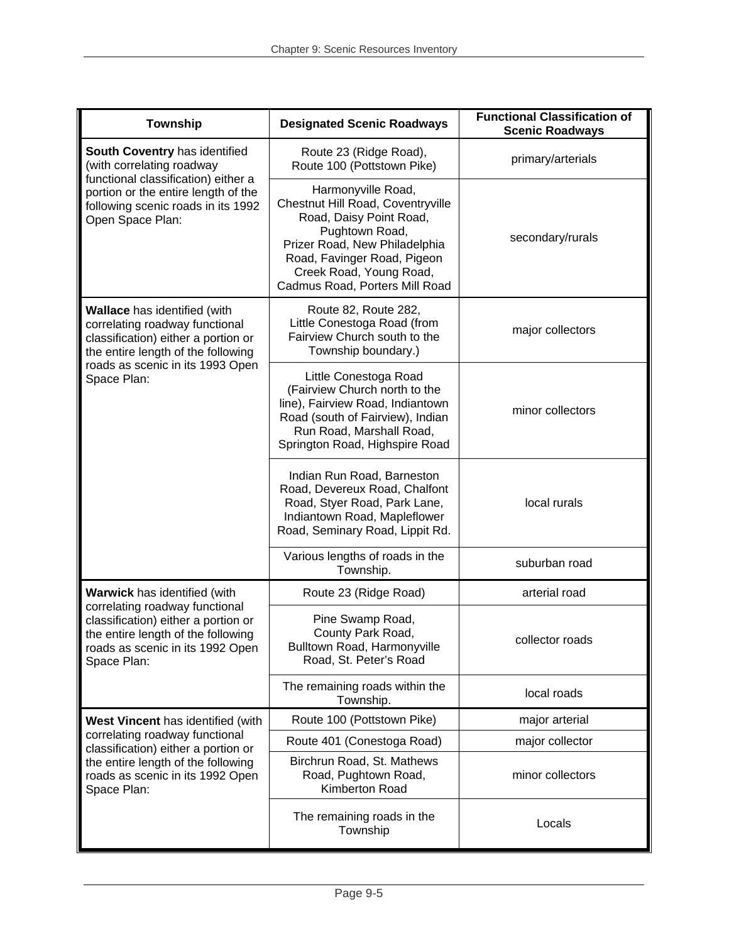| <b>Township</b>                                                                                                                                                                                    | <b>Designated Scenic Roadways</b>                                                                                                                                                                                                 | <b>Functional Classification of</b><br><b>Scenic Roadways</b> |
|----------------------------------------------------------------------------------------------------------------------------------------------------------------------------------------------------|-----------------------------------------------------------------------------------------------------------------------------------------------------------------------------------------------------------------------------------|---------------------------------------------------------------|
| South Coventry has identified<br>(with correlating roadway<br>functional classification) either a<br>portion or the entire length of the<br>following scenic roads in its 1992<br>Open Space Plan: | Route 23 (Ridge Road),<br>Route 100 (Pottstown Pike)                                                                                                                                                                              | primary/arterials                                             |
|                                                                                                                                                                                                    | Harmonyville Road,<br>Chestnut Hill Road, Coventryville<br>Road, Daisy Point Road,<br>Pughtown Road,<br>Prizer Road, New Philadelphia<br>Road, Favinger Road, Pigeon<br>Creek Road, Young Road,<br>Cadmus Road, Porters Mill Road | secondary/rurals                                              |
| Wallace has identified (with<br>correlating roadway functional<br>classification) either a portion or<br>the entire length of the following<br>roads as scenic in its 1993 Open<br>Space Plan:     | Route 82, Route 282,<br>Little Conestoga Road (from<br>Fairview Church south to the<br>Township boundary.)                                                                                                                        | major collectors                                              |
|                                                                                                                                                                                                    | Little Conestoga Road<br>(Fairview Church north to the<br>line), Fairview Road, Indiantown<br>Road (south of Fairview), Indian<br>Run Road, Marshall Road,<br>Springton Road, Highspire Road                                      | minor collectors                                              |
|                                                                                                                                                                                                    | Indian Run Road, Barneston<br>Road, Devereux Road, Chalfont<br>Road, Styer Road, Park Lane,<br>Indiantown Road, Mapleflower<br>Road, Seminary Road, Lippit Rd.                                                                    | local rurals                                                  |
|                                                                                                                                                                                                    | Various lengths of roads in the<br>Township.                                                                                                                                                                                      | suburban road                                                 |
| Warwick has identified (with                                                                                                                                                                       | Route 23 (Ridge Road)                                                                                                                                                                                                             | arterial road                                                 |
| correlating roadway functional<br>classification) either a portion or<br>the entire length of the following<br>roads as scenic in its 1992 Open<br>Space Plan:                                     | Pine Swamp Road,<br>County Park Road,<br>Bulltown Road, Harmonyville<br>Road, St. Peter's Road                                                                                                                                    | collector roads                                               |
|                                                                                                                                                                                                    | The remaining roads within the<br>Township.                                                                                                                                                                                       | local roads                                                   |
| West Vincent has identified (with                                                                                                                                                                  | Route 100 (Pottstown Pike)                                                                                                                                                                                                        | major arterial                                                |
| correlating roadway functional<br>classification) either a portion or<br>the entire length of the following<br>roads as scenic in its 1992 Open<br>Space Plan:                                     | Route 401 (Conestoga Road)                                                                                                                                                                                                        | major collector                                               |
|                                                                                                                                                                                                    | Birchrun Road, St. Mathews<br>Road, Pughtown Road,<br>Kimberton Road                                                                                                                                                              | minor collectors                                              |
|                                                                                                                                                                                                    | The remaining roads in the<br>Township                                                                                                                                                                                            | Locals                                                        |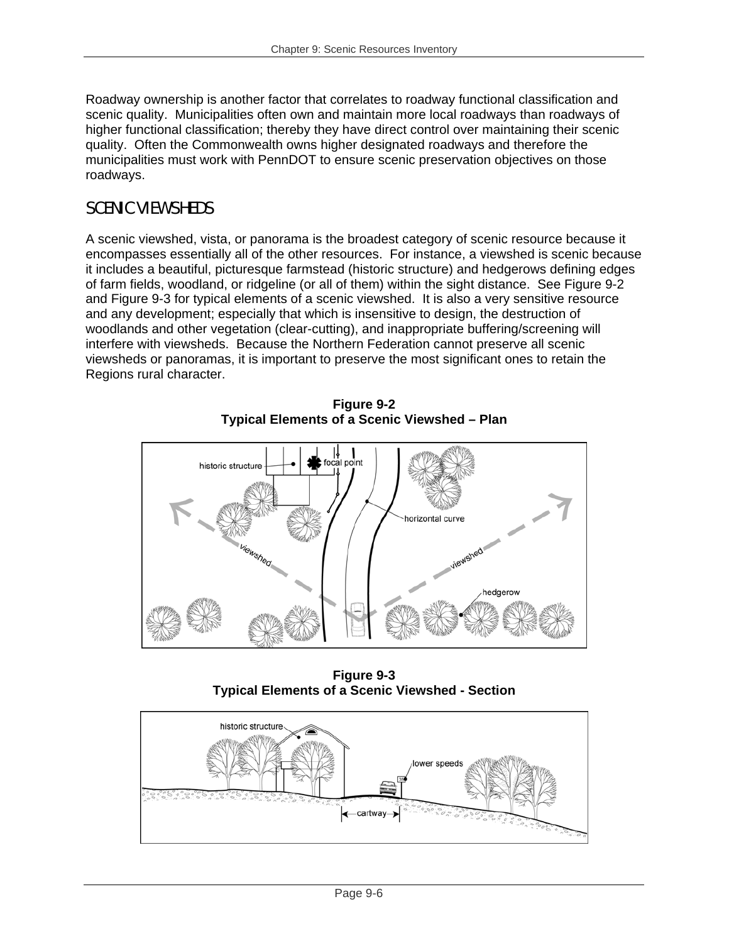Roadway ownership is another factor that correlates to roadway functional classification and scenic quality. Municipalities often own and maintain more local roadways than roadways of higher functional classification; thereby they have direct control over maintaining their scenic quality. Often the Commonwealth owns higher designated roadways and therefore the municipalities must work with PennDOT to ensure scenic preservation objectives on those roadways.

### SCENIC VIEWSHEDS

A scenic viewshed, vista, or panorama is the broadest category of scenic resource because it encompasses essentially all of the other resources. For instance, a viewshed is scenic because it includes a beautiful, picturesque farmstead (historic structure) and hedgerows defining edges of farm fields, woodland, or ridgeline (or all of them) within the sight distance. See Figure 9-2 and Figure 9-3 for typical elements of a scenic viewshed. It is also a very sensitive resource and any development; especially that which is insensitive to design, the destruction of woodlands and other vegetation (clear-cutting), and inappropriate buffering/screening will interfere with viewsheds. Because the Northern Federation cannot preserve all scenic viewsheds or panoramas, it is important to preserve the most significant ones to retain the Regions rural character.



**Figure 9-2 Typical Elements of a Scenic Viewshed – Plan** 

**Figure 9-3 Typical Elements of a Scenic Viewshed - Section**

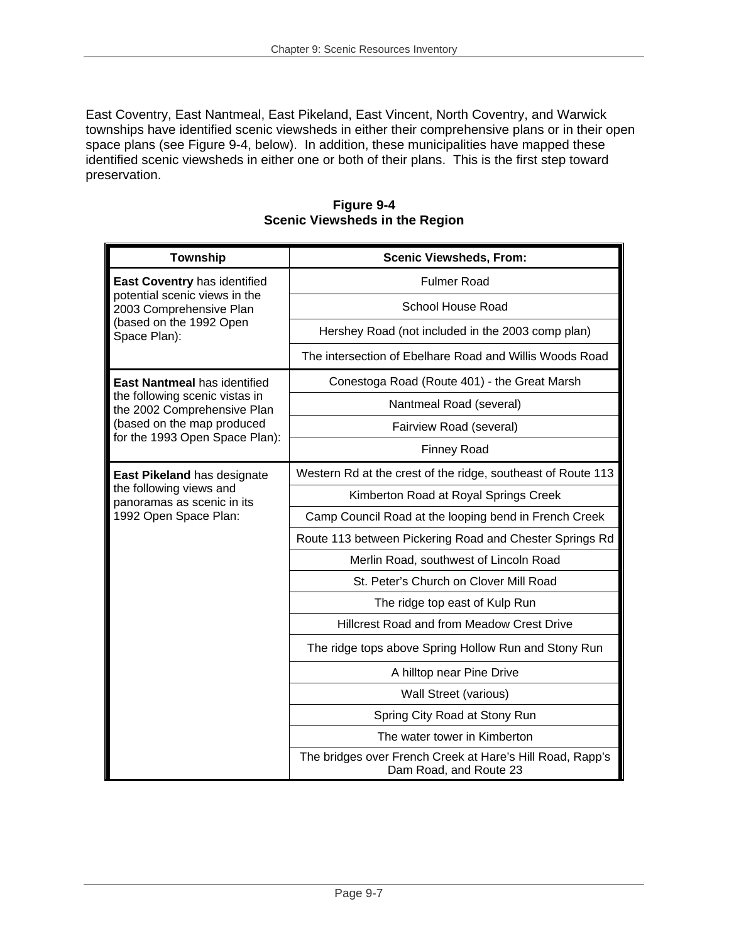East Coventry, East Nantmeal, East Pikeland, East Vincent, North Coventry, and Warwick townships have identified scenic viewsheds in either their comprehensive plans or in their open space plans (see Figure 9-4, below). In addition, these municipalities have mapped these identified scenic viewsheds in either one or both of their plans. This is the first step toward preservation.

| <b>Township</b>                                                                          | <b>Scenic Viewsheds, From:</b>                                                      |
|------------------------------------------------------------------------------------------|-------------------------------------------------------------------------------------|
| East Coventry has identified<br>potential scenic views in the<br>2003 Comprehensive Plan | <b>Fulmer Road</b>                                                                  |
|                                                                                          | <b>School House Road</b>                                                            |
| (based on the 1992 Open<br>Space Plan):                                                  | Hershey Road (not included in the 2003 comp plan)                                   |
|                                                                                          | The intersection of Ebelhare Road and Willis Woods Road                             |
| East Nantmeal has identified                                                             | Conestoga Road (Route 401) - the Great Marsh                                        |
| the following scenic vistas in<br>the 2002 Comprehensive Plan                            | Nantmeal Road (several)                                                             |
| (based on the map produced                                                               | Fairview Road (several)                                                             |
| for the 1993 Open Space Plan):                                                           | <b>Finney Road</b>                                                                  |
| East Pikeland has designate                                                              | Western Rd at the crest of the ridge, southeast of Route 113                        |
| the following views and<br>panoramas as scenic in its                                    | Kimberton Road at Royal Springs Creek                                               |
| 1992 Open Space Plan:                                                                    | Camp Council Road at the looping bend in French Creek                               |
|                                                                                          | Route 113 between Pickering Road and Chester Springs Rd                             |
|                                                                                          | Merlin Road, southwest of Lincoln Road                                              |
|                                                                                          | St. Peter's Church on Clover Mill Road                                              |
|                                                                                          | The ridge top east of Kulp Run                                                      |
|                                                                                          | Hillcrest Road and from Meadow Crest Drive                                          |
|                                                                                          | The ridge tops above Spring Hollow Run and Stony Run                                |
|                                                                                          | A hilltop near Pine Drive                                                           |
|                                                                                          | <b>Wall Street (various)</b>                                                        |
|                                                                                          | Spring City Road at Stony Run                                                       |
|                                                                                          | The water tower in Kimberton                                                        |
|                                                                                          | The bridges over French Creek at Hare's Hill Road, Rapp's<br>Dam Road, and Route 23 |

**Figure 9-4 Scenic Viewsheds in the Region**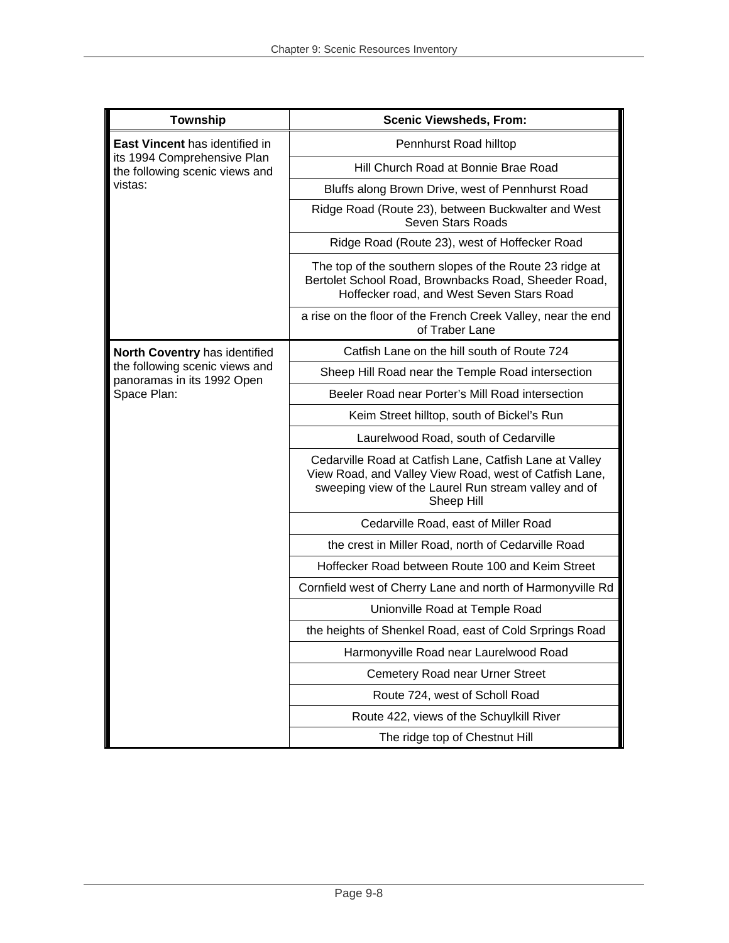| <b>Township</b>                                                                                 | <b>Scenic Viewsheds, From:</b>                                                                                                                                                          |
|-------------------------------------------------------------------------------------------------|-----------------------------------------------------------------------------------------------------------------------------------------------------------------------------------------|
| East Vincent has identified in<br>its 1994 Comprehensive Plan<br>the following scenic views and | Pennhurst Road hilltop                                                                                                                                                                  |
|                                                                                                 | Hill Church Road at Bonnie Brae Road                                                                                                                                                    |
| vistas:                                                                                         | Bluffs along Brown Drive, west of Pennhurst Road                                                                                                                                        |
|                                                                                                 | Ridge Road (Route 23), between Buckwalter and West<br>Seven Stars Roads                                                                                                                 |
|                                                                                                 | Ridge Road (Route 23), west of Hoffecker Road                                                                                                                                           |
|                                                                                                 | The top of the southern slopes of the Route 23 ridge at<br>Bertolet School Road, Brownbacks Road, Sheeder Road,<br>Hoffecker road, and West Seven Stars Road                            |
|                                                                                                 | a rise on the floor of the French Creek Valley, near the end<br>of Traber Lane                                                                                                          |
| North Coventry has identified                                                                   | Catfish Lane on the hill south of Route 724                                                                                                                                             |
| the following scenic views and<br>panoramas in its 1992 Open                                    | Sheep Hill Road near the Temple Road intersection                                                                                                                                       |
| Space Plan:                                                                                     | Beeler Road near Porter's Mill Road intersection                                                                                                                                        |
|                                                                                                 | Keim Street hilltop, south of Bickel's Run                                                                                                                                              |
|                                                                                                 | Laurelwood Road, south of Cedarville                                                                                                                                                    |
|                                                                                                 | Cedarville Road at Catfish Lane, Catfish Lane at Valley<br>View Road, and Valley View Road, west of Catfish Lane,<br>sweeping view of the Laurel Run stream valley and of<br>Sheep Hill |
|                                                                                                 | Cedarville Road, east of Miller Road                                                                                                                                                    |
|                                                                                                 | the crest in Miller Road, north of Cedarville Road                                                                                                                                      |
|                                                                                                 | Hoffecker Road between Route 100 and Keim Street                                                                                                                                        |
|                                                                                                 | Cornfield west of Cherry Lane and north of Harmonyville Rd                                                                                                                              |
|                                                                                                 | Unionville Road at Temple Road                                                                                                                                                          |
|                                                                                                 | the heights of Shenkel Road, east of Cold Srprings Road                                                                                                                                 |
|                                                                                                 | Harmonyville Road near Laurelwood Road                                                                                                                                                  |
|                                                                                                 | Cemetery Road near Urner Street                                                                                                                                                         |
|                                                                                                 | Route 724, west of Scholl Road                                                                                                                                                          |
|                                                                                                 | Route 422, views of the Schuylkill River                                                                                                                                                |
|                                                                                                 | The ridge top of Chestnut Hill                                                                                                                                                          |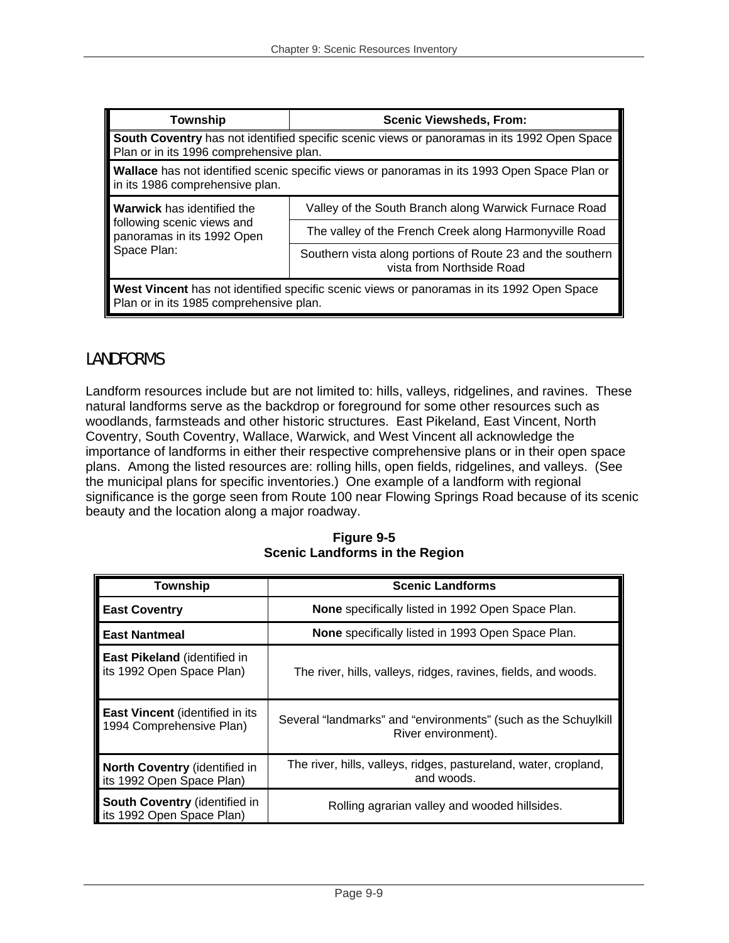| Township                                                                                                                               | <b>Scenic Viewsheds, From:</b>                                                          |  |
|----------------------------------------------------------------------------------------------------------------------------------------|-----------------------------------------------------------------------------------------|--|
| South Coventry has not identified specific scenic views or panoramas in its 1992 Open Space<br>Plan or in its 1996 comprehensive plan. |                                                                                         |  |
| Wallace has not identified scenic specific views or panoramas in its 1993 Open Space Plan or<br>in its 1986 comprehensive plan.        |                                                                                         |  |
| <b>Warwick</b> has identified the<br>following scenic views and<br>panoramas in its 1992 Open<br>Space Plan:                           | Valley of the South Branch along Warwick Furnace Road                                   |  |
|                                                                                                                                        | The valley of the French Creek along Harmonyville Road                                  |  |
|                                                                                                                                        | Southern vista along portions of Route 23 and the southern<br>vista from Northside Road |  |
| West Vincent has not identified specific scenic views or panoramas in its 1992 Open Space<br>Plan or in its 1985 comprehensive plan.   |                                                                                         |  |

### LANDFORMS

Landform resources include but are not limited to: hills, valleys, ridgelines, and ravines. These natural landforms serve as the backdrop or foreground for some other resources such as woodlands, farmsteads and other historic structures. East Pikeland, East Vincent, North Coventry, South Coventry, Wallace, Warwick, and West Vincent all acknowledge the importance of landforms in either their respective comprehensive plans or in their open space plans. Among the listed resources are: rolling hills, open fields, ridgelines, and valleys. (See the municipal plans for specific inventories.) One example of a landform with regional significance is the gorge seen from Route 100 near Flowing Springs Road because of its scenic beauty and the location along a major roadway.

| <b>Township</b>                                                    | <b>Scenic Landforms</b>                                                               |
|--------------------------------------------------------------------|---------------------------------------------------------------------------------------|
| <b>East Coventry</b>                                               | None specifically listed in 1992 Open Space Plan.                                     |
| <b>East Nantmeal</b>                                               | None specifically listed in 1993 Open Space Plan.                                     |
| East Pikeland (identified in<br>its 1992 Open Space Plan)          | The river, hills, valleys, ridges, ravines, fields, and woods.                        |
| <b>East Vincent</b> (identified in its<br>1994 Comprehensive Plan) | Several "landmarks" and "environments" (such as the Schuylkill<br>River environment). |
| <b>North Coventry (identified in</b><br>its 1992 Open Space Plan)  | The river, hills, valleys, ridges, pastureland, water, cropland,<br>and woods.        |
| South Coventry (identified in<br>its 1992 Open Space Plan)         | Rolling agrarian valley and wooded hillsides.                                         |

**Figure 9-5 Scenic Landforms in the Region**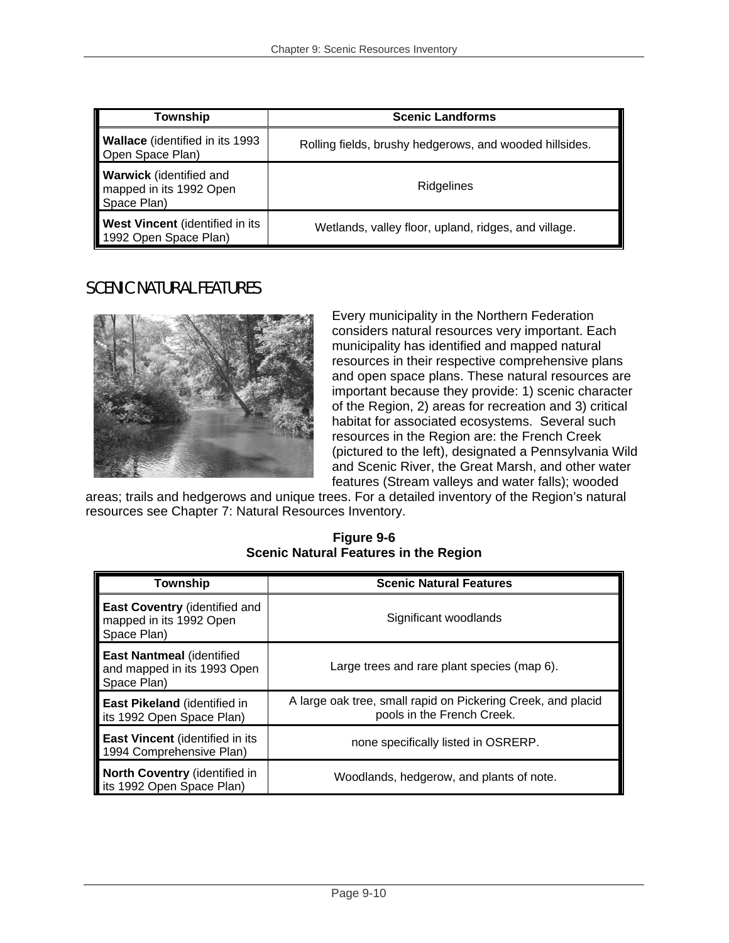| Township                                                                 | <b>Scenic Landforms</b>                                 |
|--------------------------------------------------------------------------|---------------------------------------------------------|
| <b>Wallace</b> (identified in its 1993<br>Open Space Plan)               | Rolling fields, brushy hedgerows, and wooded hillsides. |
| <b>Warwick</b> (identified and<br>mapped in its 1992 Open<br>Space Plan) | Ridgelines                                              |
| West Vincent (identified in its<br>1992 Open Space Plan)                 | Wetlands, valley floor, upland, ridges, and village.    |

### SCENIC NATURAL FEATURES



Every municipality in the Northern Federation considers natural resources very important. Each municipality has identified and mapped natural resources in their respective comprehensive plans and open space plans. These natural resources are important because they provide: 1) scenic character of the Region, 2) areas for recreation and 3) critical habitat for associated ecosystems. Several such resources in the Region are: the French Creek (pictured to the left), designated a Pennsylvania Wild and Scenic River, the Great Marsh, and other water features (Stream valleys and water falls); wooded

areas; trails and hedgerows and unique trees. For a detailed inventory of the Region's natural resources see Chapter 7: Natural Resources Inventory.

#### **Figure 9-6 Scenic Natural Features in the Region**

| <b>Township</b>                                                                 | <b>Scenic Natural Features</b>                                                             |
|---------------------------------------------------------------------------------|--------------------------------------------------------------------------------------------|
| <b>East Coventry (identified and</b><br>mapped in its 1992 Open<br>Space Plan)  | Significant woodlands                                                                      |
| <b>East Nantmeal (identified)</b><br>and mapped in its 1993 Open<br>Space Plan) | Large trees and rare plant species (map 6).                                                |
| East Pikeland (identified in<br>its 1992 Open Space Plan)                       | A large oak tree, small rapid on Pickering Creek, and placid<br>pools in the French Creek. |
| <b>East Vincent</b> (identified in its<br>1994 Comprehensive Plan)              | none specifically listed in OSRERP.                                                        |
| <b>North Coventry (identified in</b><br>its 1992 Open Space Plan)               | Woodlands, hedgerow, and plants of note.                                                   |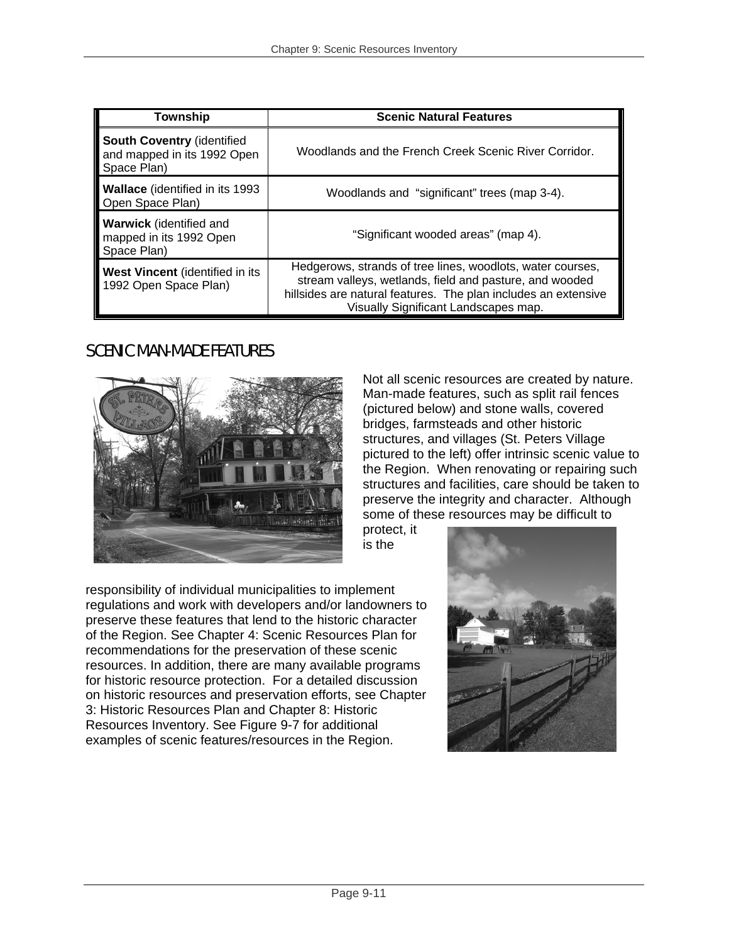| <b>Township</b>                                                                 | <b>Scenic Natural Features</b>                                                                                                                                                                                                  |
|---------------------------------------------------------------------------------|---------------------------------------------------------------------------------------------------------------------------------------------------------------------------------------------------------------------------------|
| <b>South Coventry (identified</b><br>and mapped in its 1992 Open<br>Space Plan) | Woodlands and the French Creek Scenic River Corridor.                                                                                                                                                                           |
| <b>Wallace</b> (identified in its 1993)<br>Open Space Plan)                     | Woodlands and "significant" trees (map 3-4).                                                                                                                                                                                    |
| <b>Warwick</b> (identified and<br>mapped in its 1992 Open<br>Space Plan)        | "Significant wooded areas" (map 4).                                                                                                                                                                                             |
| West Vincent (identified in its<br>1992 Open Space Plan)                        | Hedgerows, strands of tree lines, woodlots, water courses,<br>stream valleys, wetlands, field and pasture, and wooded<br>hillsides are natural features. The plan includes an extensive<br>Visually Significant Landscapes map. |

### SCENIC MAN-MADE FEATURES



Not all scenic resources are created by nature. Man-made features, such as split rail fences (pictured below) and stone walls, covered bridges, farmsteads and other historic structures, and villages (St. Peters Village pictured to the left) offer intrinsic scenic value to the Region. When renovating or repairing such structures and facilities, care should be taken to preserve the integrity and character. Although some of these resources may be difficult to

protect, it is the

responsibility of individual municipalities to implement regulations and work with developers and/or landowners to preserve these features that lend to the historic character of the Region. See Chapter 4: Scenic Resources Plan for recommendations for the preservation of these scenic resources. In addition, there are many available programs for historic resource protection. For a detailed discussion on historic resources and preservation efforts, see Chapter 3: Historic Resources Plan and Chapter 8: Historic Resources Inventory. See Figure 9-7 for additional examples of scenic features/resources in the Region.

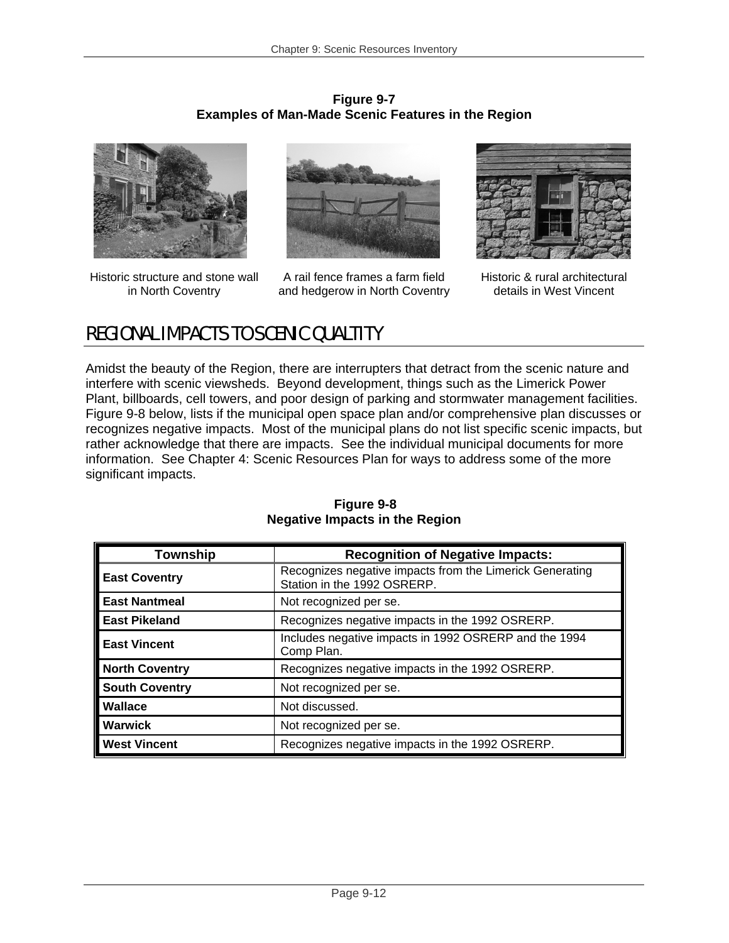**Figure 9-7 Examples of Man-Made Scenic Features in the Region** 



Historic structure and stone wall in North Coventry



A rail fence frames a farm field and hedgerow in North Coventry



Historic & rural architectural details in West Vincent

## REGIONAL IMPACTS TO SCENIC QUALTITY

Amidst the beauty of the Region, there are interrupters that detract from the scenic nature and interfere with scenic viewsheds. Beyond development, things such as the Limerick Power Plant, billboards, cell towers, and poor design of parking and stormwater management facilities. Figure 9-8 below, lists if the municipal open space plan and/or comprehensive plan discusses or recognizes negative impacts. Most of the municipal plans do not list specific scenic impacts, but rather acknowledge that there are impacts. See the individual municipal documents for more information. See Chapter 4: Scenic Resources Plan for ways to address some of the more significant impacts.

| Township              | <b>Recognition of Negative Impacts:</b>                                                 |
|-----------------------|-----------------------------------------------------------------------------------------|
| <b>East Coventry</b>  | Recognizes negative impacts from the Limerick Generating<br>Station in the 1992 OSRERP. |
| <b>East Nantmeal</b>  | Not recognized per se.                                                                  |
| <b>East Pikeland</b>  | Recognizes negative impacts in the 1992 OSRERP.                                         |
| <b>East Vincent</b>   | Includes negative impacts in 1992 OSRERP and the 1994<br>Comp Plan.                     |
| <b>North Coventry</b> | Recognizes negative impacts in the 1992 OSRERP.                                         |
| <b>South Coventry</b> | Not recognized per se.                                                                  |
| <b>Wallace</b>        | Not discussed.                                                                          |
| <b>Warwick</b>        | Not recognized per se.                                                                  |
| <b>West Vincent</b>   | Recognizes negative impacts in the 1992 OSRERP.                                         |

**Figure 9-8 Negative Impacts in the Region**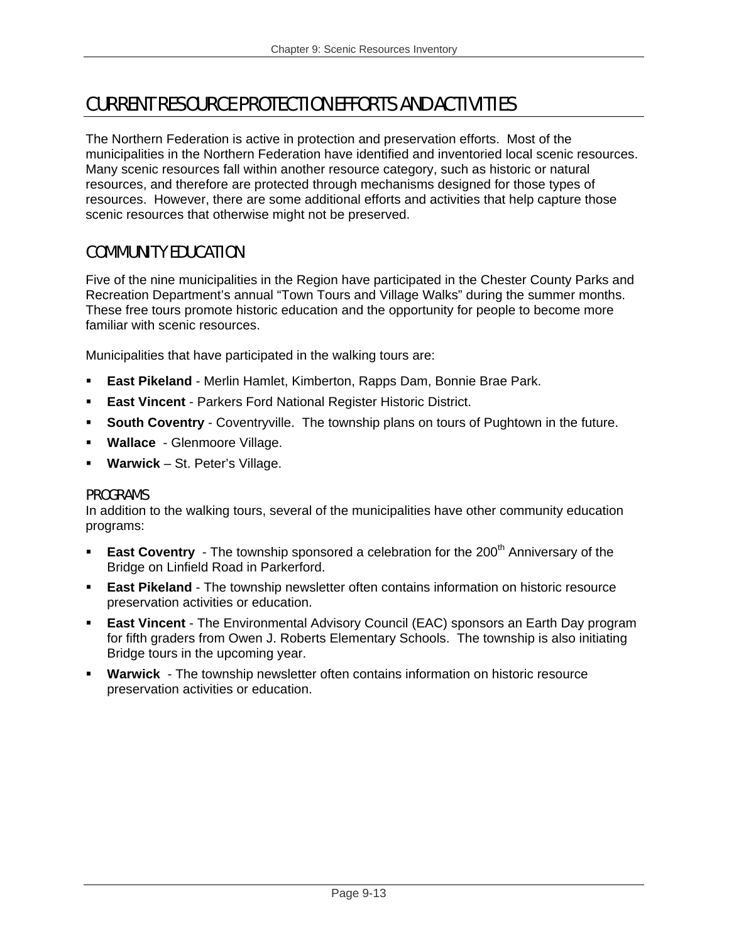## CURRENT RESOURCE PROTECTION EFFORTS AND ACTIVITIES

The Northern Federation is active in protection and preservation efforts. Most of the municipalities in the Northern Federation have identified and inventoried local scenic resources. Many scenic resources fall within another resource category, such as historic or natural resources, and therefore are protected through mechanisms designed for those types of resources. However, there are some additional efforts and activities that help capture those scenic resources that otherwise might not be preserved.

### COMMUNITY EDUCATION

Five of the nine municipalities in the Region have participated in the Chester County Parks and Recreation Department's annual "Town Tours and Village Walks" during the summer months. These free tours promote historic education and the opportunity for people to become more familiar with scenic resources.

Municipalities that have participated in the walking tours are:

- **East Pikeland**  Merlin Hamlet, Kimberton, Rapps Dam, Bonnie Brae Park.
- **East Vincent**  Parkers Ford National Register Historic District.
- **South Coventry**  Coventryville. The township plans on tours of Pughtown in the future.
- **Wallace**  Glenmoore Village.
- **Warwick**  St. Peter's Village.

#### PROGRAMS

In addition to the walking tours, several of the municipalities have other community education programs:

- **East Coventry** The township sponsored a celebration for the 200<sup>th</sup> Anniversary of the Bridge on Linfield Road in Parkerford.
- **East Pikeland** The township newsletter often contains information on historic resource preservation activities or education.
- **East Vincent**  The Environmental Advisory Council (EAC) sponsors an Earth Day program for fifth graders from Owen J. Roberts Elementary Schools. The township is also initiating Bridge tours in the upcoming year.
- **Warwick** The township newsletter often contains information on historic resource preservation activities or education.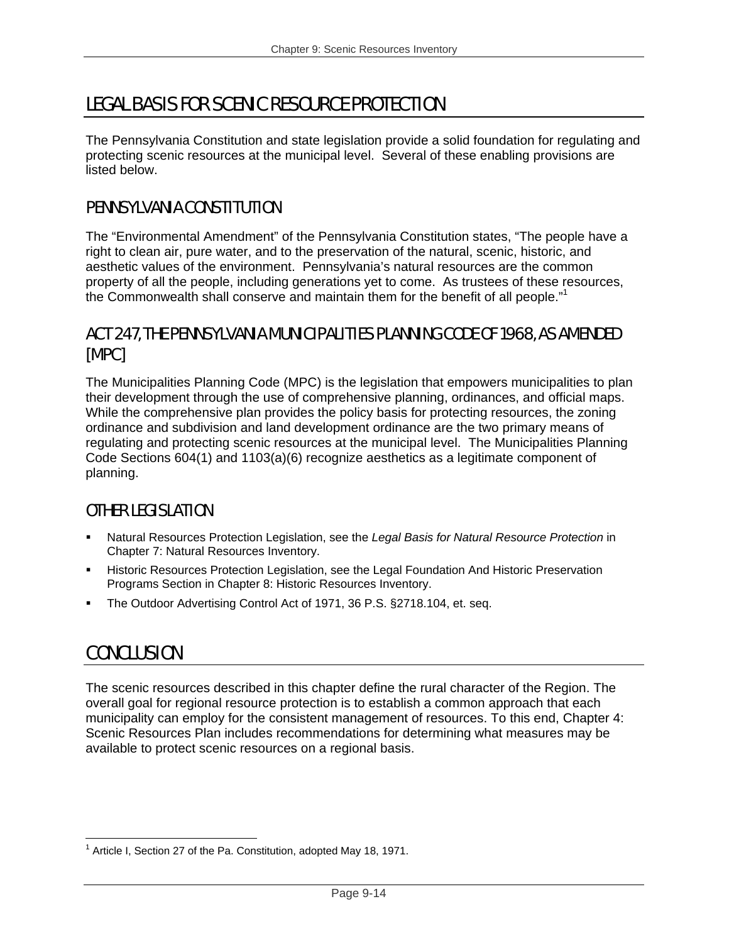## LEGAL BASIS FOR SCENIC RESOURCE PROTECTION

The Pennsylvania Constitution and state legislation provide a solid foundation for regulating and protecting scenic resources at the municipal level. Several of these enabling provisions are listed below.

### PENNSYLVANIA CONSTITUTION

The "Environmental Amendment" of the Pennsylvania Constitution states, "The people have a right to clean air, pure water, and to the preservation of the natural, scenic, historic, and aesthetic values of the environment. Pennsylvania's natural resources are the common property of all the people, including generations yet to come. As trustees of these resources, the Commonwealth shall conserve and maintain them for the benefit of all people."<sup>1</sup>

### ACT 247, THE PENNSYLVANIA MUNICIPALITIES PLANNING CODE OF 1968, AS AMENDED [MPC]

The Municipalities Planning Code (MPC) is the legislation that empowers municipalities to plan their development through the use of comprehensive planning, ordinances, and official maps. While the comprehensive plan provides the policy basis for protecting resources, the zoning ordinance and subdivision and land development ordinance are the two primary means of regulating and protecting scenic resources at the municipal level. The Municipalities Planning Code Sections 604(1) and 1103(a)(6) recognize aesthetics as a legitimate component of planning.

### OTHER LEGISLATION

- Natural Resources Protection Legislation, see the *Legal Basis for Natural Resource Protection* in Chapter 7: Natural Resources Inventory.
- **Historic Resources Protection Legislation, see the Legal Foundation And Historic Preservation** Programs Section in Chapter 8: Historic Resources Inventory.
- The Outdoor Advertising Control Act of 1971, 36 P.S. §2718.104, et. seq.

## CONCLUSION

The scenic resources described in this chapter define the rural character of the Region. The overall goal for regional resource protection is to establish a common approach that each municipality can employ for the consistent management of resources. To this end, Chapter 4: Scenic Resources Plan includes recommendations for determining what measures may be available to protect scenic resources on a regional basis.

 $\overline{a}$ 1 Article I, Section 27 of the Pa. Constitution, adopted May 18, 1971.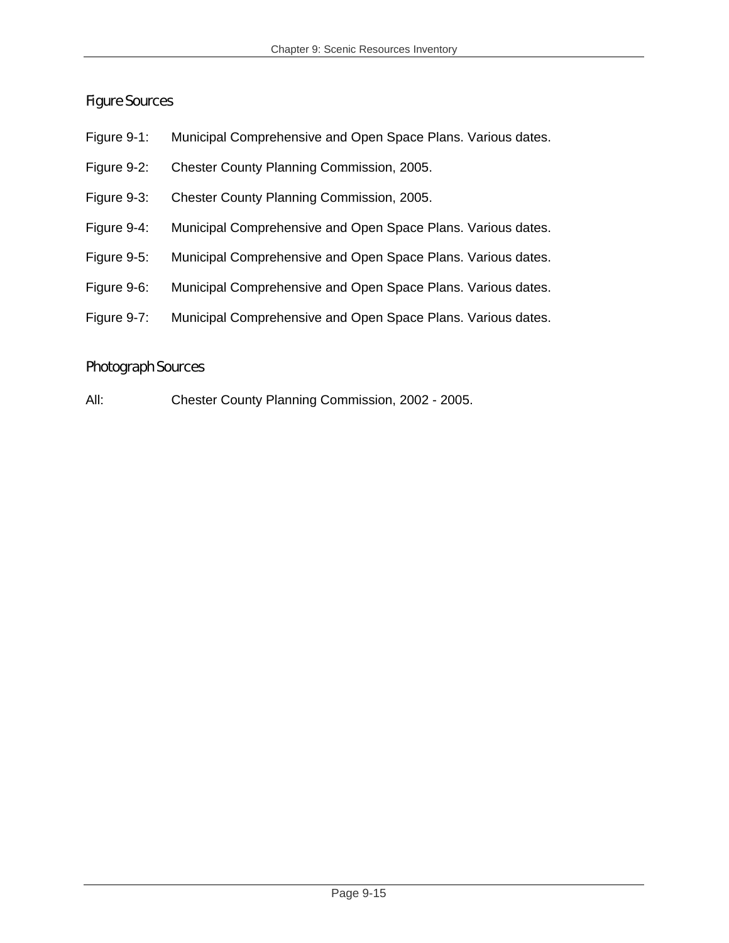#### Figure Sources

- Figure 9-1: Municipal Comprehensive and Open Space Plans. Various dates.
- Figure 9-2: Chester County Planning Commission, 2005.
- Figure 9-3: Chester County Planning Commission, 2005.
- Figure 9-4: Municipal Comprehensive and Open Space Plans. Various dates.
- Figure 9-5: Municipal Comprehensive and Open Space Plans. Various dates.
- Figure 9-6: Municipal Comprehensive and Open Space Plans. Various dates.
- Figure 9-7: Municipal Comprehensive and Open Space Plans. Various dates.

#### Photograph Sources

All: Chester County Planning Commission, 2002 - 2005.